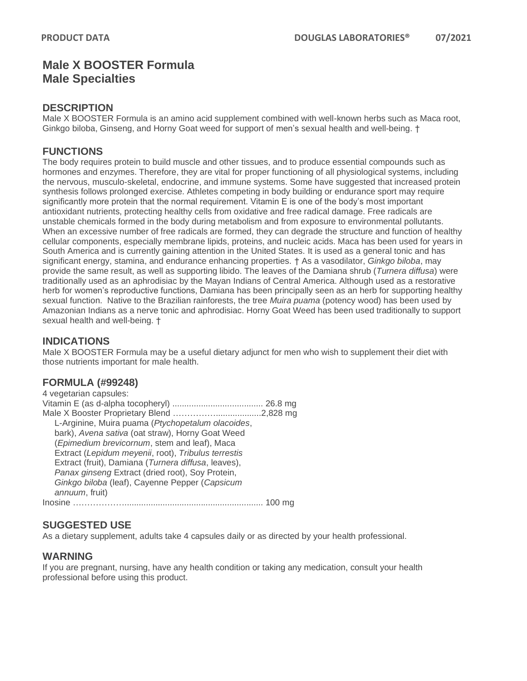# **Male X BOOSTER Formula Male Specialties**

### **DESCRIPTION**

Male X BOOSTER Formula is an amino acid supplement combined with well-known herbs such as Maca root, Ginkgo biloba, Ginseng, and Horny Goat weed for support of men's sexual health and well-being. †

# **FUNCTIONS**

The body requires protein to build muscle and other tissues, and to produce essential compounds such as hormones and enzymes. Therefore, they are vital for proper functioning of all physiological systems, including the nervous, musculo-skeletal, endocrine, and immune systems. Some have suggested that increased protein synthesis follows prolonged exercise. Athletes competing in body building or endurance sport may require significantly more protein that the normal requirement. Vitamin E is one of the body's most important antioxidant nutrients, protecting healthy cells from oxidative and free radical damage. Free radicals are unstable chemicals formed in the body during metabolism and from exposure to environmental pollutants. When an excessive number of free radicals are formed, they can degrade the structure and function of healthy cellular components, especially membrane lipids, proteins, and nucleic acids. Maca has been used for years in South America and is currently gaining attention in the United States. It is used as a general tonic and has significant energy, stamina, and endurance enhancing properties. † As a vasodilator, *Ginkgo biloba*, may provide the same result, as well as supporting libido. The leaves of the Damiana shrub (*Turnera diffusa*) were traditionally used as an aphrodisiac by the Mayan Indians of Central America. Although used as a restorative herb for women's reproductive functions, Damiana has been principally seen as an herb for supporting healthy sexual function. Native to the Brazilian rainforests, the tree *Muira puama* (potency wood) has been used by Amazonian Indians as a nerve tonic and aphrodisiac. Horny Goat Weed has been used traditionally to support sexual health and well-being. †

### **INDICATIONS**

Male X BOOSTER Formula may be a useful dietary adjunct for men who wish to supplement their diet with those nutrients important for male health.

### **FORMULA (#99248)**

4 vegetarian capsules: Vitamin E (as d-alpha tocopheryl) ...................................... 26.8 mg Male X Booster Proprietary Blend ……………...................2,828 mg L-Arginine, Muira puama (*Ptychopetalum olacoides*, bark), *Avena sativa* (oat straw), Horny Goat Weed (*Epimedium brevicornum*, stem and leaf), Maca Extract (*Lepidum meyenii*, root), *Tribulus terrestis* Extract (fruit), Damiana (*Turnera diffusa*, leaves), *Panax ginseng* Extract (dried root), Soy Protein,  *Ginkgo biloba* (leaf), Cayenne Pepper (*Capsicum annuum*, fruit) Inosine ……………….......................................................... 100 mg

### **SUGGESTED USE**

As a dietary supplement, adults take 4 capsules daily or as directed by your health professional.

### **WARNING**

If you are pregnant, nursing, have any health condition or taking any medication, consult your health professional before using this product.